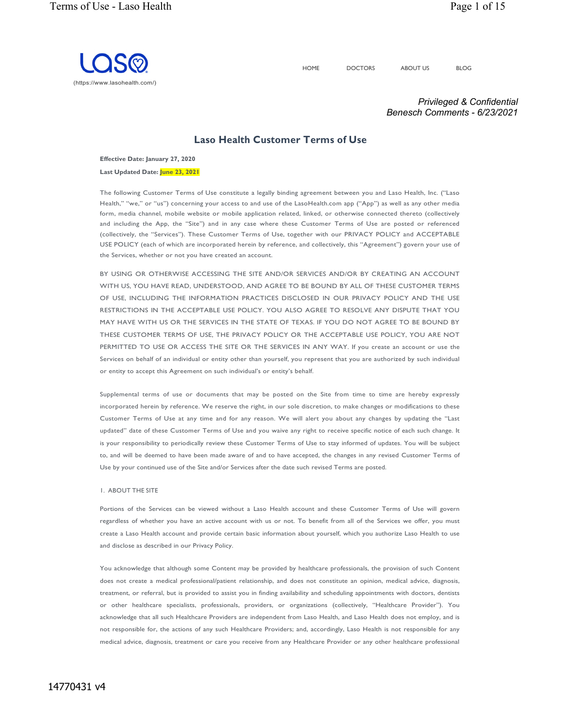

HOME DOCTORS ABOUT US BLOG

*Privileged & Confidential Benesch Comments - 6/23/2021*

# **Laso Health Customer Terms of Use**

**Effective Date: January 27, 2020**

**Last Updated Date: June 23, 2021**

The following Customer Terms of Use constitute a legally binding agreement between you and Laso Health, Inc. ("Laso Health," "we," or "us") concerning your access to and use of the LasoHealth.com app ("App") as well as any other media form, media channel, mobile website or mobile application related, linked, or otherwise connected thereto (collectively and including the App, the "Site") and in any case where these Customer Terms of Use are posted or referenced (collectively, the "Services"). These Customer Terms of Use, together with our PRIVACY POLICY and ACCEPTABLE USE POLICY (each of which are incorporated herein by reference, and collectively, this "Agreement") govern your use of the Services, whether or not you have created an account.

BY USING OR OTHERWISE ACCESSING THE SITE AND/OR SERVICES AND/OR BY CREATING AN ACCOUNT WITH US, YOU HAVE READ, UNDERSTOOD, AND AGREE TO BE BOUND BY ALL OF THESE CUSTOMER TERMS OF USE, INCLUDING THE INFORMATION PRACTICES DISCLOSED IN OUR PRIVACY POLICY AND THE USE RESTRICTIONS IN THE ACCEPTABLE USE POLICY. YOU ALSO AGREE TO RESOLVE ANY DISPUTE THAT YOU MAY HAVE WITH US OR THE SERVICES IN THE STATE OF TEXAS. IF YOU DO NOT AGREE TO BE BOUND BY THESE CUSTOMER TERMS OF USE, THE PRIVACY POLICY OR THE ACCEPTABLE USE POLICY, YOU ARE NOT PERMITTED TO USE OR ACCESS THE SITE OR THE SERVICES IN ANY WAY. If you create an account or use the Services on behalf of an individual or entity other than yourself, you represent that you are authorized by such individual or entity to accept this Agreement on such individual's or entity's behalf.

Supplemental terms of use or documents that may be posted on the Site from time to time are hereby expressly incorporated herein by reference. We reserve the right, in our sole discretion, to make changes or modifications to these Customer Terms of Use at any time and for any reason. We will alert you about any changes by updating the "Last updated" date of these Customer Terms of Use and you waive any right to receive specific notice of each such change. It is your responsibility to periodically review these Customer Terms of Use to stay informed of updates. You will be subject to, and will be deemed to have been made aware of and to have accepted, the changes in any revised Customer Terms of Use by your continued use of the Site and/or Services after the date such revised Terms are posted.

#### 1. ABOUT THE SITE

Portions of the Services can be viewed without a Laso Health account and these Customer Terms of Use will govern regardless of whether you have an active account with us or not. To benefit from all of the Services we offer, you must create a Laso Health account and provide certain basic information about yourself, which you authorize Laso Health to use and disclose as described in our Privacy Policy.

You acknowledge that although some Content may be provided by healthcare professionals, the provision of such Content does not create a medical professional/patient relationship, and does not constitute an opinion, medical advice, diagnosis, treatment, or referral, but is provided to assist you in finding availability and scheduling appointments with doctors, dentists or other healthcare specialists, professionals, providers, or organizations (collectively, "Healthcare Provider"). You acknowledge that all such Healthcare Providers are independent from Laso Health, and Laso Health does not employ, and is not responsible for, the actions of any such Healthcare Providers; and, accordingly, Laso Health is not responsible for any medical advice, diagnosis, treatment or care you receive from any Healthcare Provider or any other healthcare professional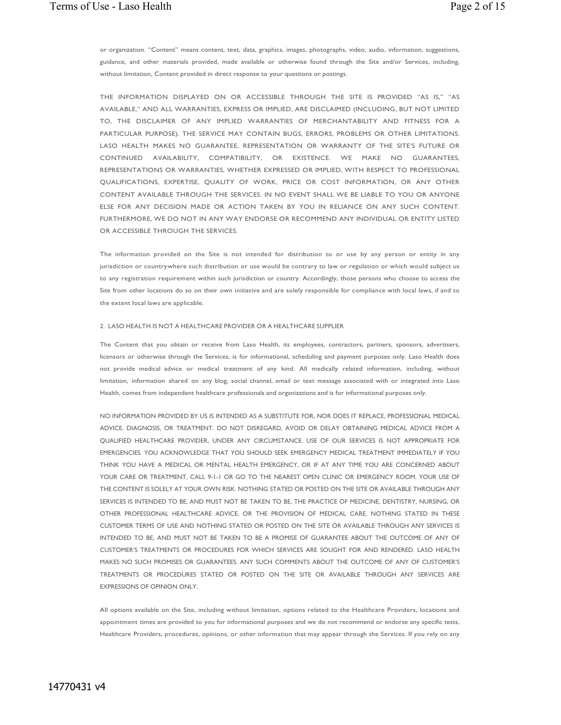or organization. "Content" means content, text, data, graphics, images, photographs, video, audio, information, suggestions, guidance, and other materials provided, made available or otherwise found through the Site and/or Services, including, without limitation, Content provided in direct response to your questions or postings.

THE INFORMATION DISPLAYED ON OR ACCESSIBLE THROUGH THE SITE IS PROVIDED "AS IS," "AS AVAILABLE," AND ALL WARRANTIES, EXPRESS OR IMPLIED, ARE DISCLAIMED (INCLUDING, BUT NOT LIMITED TO, THE DISCLAIMER OF ANY IMPLIED WARRANTIES OF MERCHANTABILITY AND FITNESS FOR A PARTICULAR PURPOSE). THE SERVICE MAY CONTAIN BUGS, ERRORS, PROBLEMS OR OTHER LIMITATIONS. LASO HEALTH MAKES NO GUARANTEE, REPRESENTATION OR WARRANTY OF THE SITE'S FUTURE OR CONTINUED AVAILABILITY, COMPATIBILITY, OR EXISTENCE. WE MAKE NO GUARANTEES, REPRESENTATIONS OR WARRANTIES, WHETHER EXPRESSED OR IMPLIED, WITH RESPECT TO PROFESSIONAL QUALIFICATIONS, EXPERTISE, QUALITY OF WORK, PRICE OR COST INFORMATION, OR ANY OTHER CONTENT AVAILABLE THROUGH THE SERVICES. IN NO EVENT SHALL WE BE LIABLE TO YOU OR ANYONE ELSE FOR ANY DECISION MADE OR ACTION TAKEN BY YOU IN RELIANCE ON ANY SUCH CONTENT. FURTHERMORE, WE DO NOT IN ANY WAY ENDORSE OR RECOMMEND ANY INDIVIDUAL OR ENTITY LISTED OR ACCESSIBLE THROUGH THE SERVICES.

The information provided on the Site is not intended for distribution to or use by any person or entity in any jurisdiction or countrywhere such distribution or use would be contrary to law or regulation or which would subject us to any registration requirement within such jurisdiction or country. Accordingly, those persons who choose to access the Site from other locations do so on their own initiative and are solely responsible for compliance with local laws, if and to the extent local laws are applicable.

### 2. LASO HEALTH IS NOT A HEALTHCARE PROVIDER OR A HEALTHCARE SUPPLIER

The Content that you obtain or receive from Laso Health, its employees, contractors, partners, sponsors, advertisers, licensors or otherwise through the Services, is for informational, scheduling and payment purposes only. Laso Health does not provide medical advice or medical treatment of any kind. All medically related information, including, without limitation, information shared on any blog, social channel, email or text message associated with or integrated into Laso Health, comes from independent healthcare professionals and organizations and is for informational purposes only.

NO INFORMATION PROVIDED BY US IS INTENDED AS A SUBSTITUTE FOR, NOR DOES IT REPLACE, PROFESSIONAL MEDICAL ADVICE, DIAGNOSIS, OR TREATMENT. DO NOT DISREGARD, AVOID OR DELAY OBTAINING MEDICAL ADVICE FROM A QUALIFIED HEALTHCARE PROVIDER, UNDER ANY CIRCUMSTANCE. USE OF OUR SERVICES IS NOT APPROPRIATE FOR EMERGENCIES. YOU ACKNOWLEDGE THAT YOU SHOULD SEEK EMERGENCY MEDICAL TREATMENT IMMEDIATELY IF YOU THINK YOU HAVE A MEDICAL OR MENTAL HEALTH EMERGENCY, OR IF AT ANY TIME YOU ARE CONCERNED ABOUT YOUR CARE OR TREATMENT, CALL 9-1-1 OR GO TO THE NEAREST OPEN CLINIC OR EMERGENCY ROOM. YOUR USE OF THE CONTENT IS SOLELY AT YOUR OWN RISK. NOTHING STATED OR POSTED ON THE SITE OR AVAILABLE THROUGH ANY SERVICES IS INTENDED TO BE, AND MUST NOT BE TAKEN TO BE, THE PRACTICE OF MEDICINE, DENTISTRY, NURSING, OR OTHER PROFESSIONAL HEALTHCARE ADVICE, OR THE PROVISION OF MEDICAL CARE. NOTHING STATED IN THESE CUSTOMER TERMS OF USE AND NOTHING STATED OR POSTED ON THE SITE OR AVAILABLE THROUGH ANY SERVICES IS INTENDED TO BE, AND MUST NOT BE TAKEN TO BE A PROMISE OF GUARANTEE ABOUT THE OUTCOME OF ANY OF CUSTOMER'S TREATMENTS OR PROCEDURES FOR WHICH SERVICES ARE SOUGHT FOR AND RENDERED. LASO HEALTH MAKES NO SUCH PROMISES OR GUARANTEES. ANY SUCH COMMENTS ABOUT THE OUTCOME OF ANY OF CUSTOMER'S TREATMENTS OR PROCEDURES STATED OR POSTED ON THE SITE OR AVAILABLE THROUGH ANY SERVICES ARE EXPRESSIONS OF OPINION ONLY.

All options available on the Site, including without limitation, options related to the Healthcare Providers, locations and appointment times are provided to you for informational purposes and we do not recommend or endorse any specific tests, Healthcare Providers, procedures, opinions, or other information that may appear through the Services. If you rely on any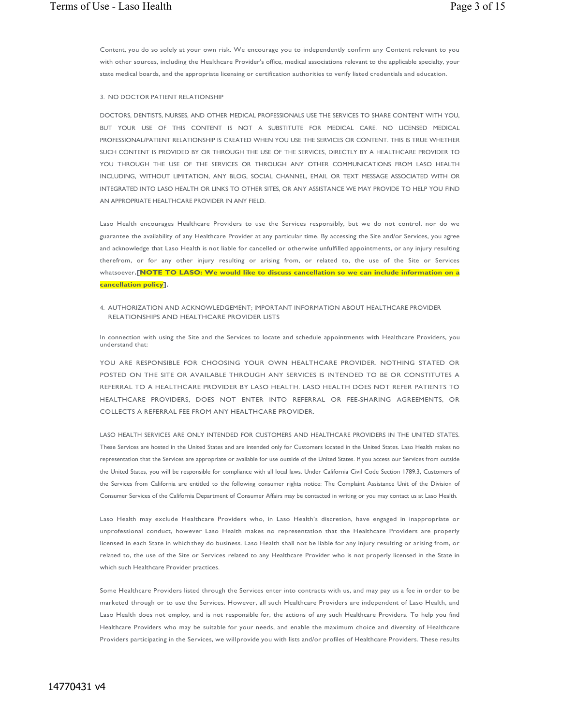Content, you do so solely at your own risk. We encourage you to independently confirm any Content relevant to you with other sources, including the Healthcare Provider's office, medical associations relevant to the applicable specialty, your state medical boards, and the appropriate licensing or certification authorities to verify listed credentials and education.

### 3. NO DOCTOR PATIENT RELATIONSHIP

DOCTORS, DENTISTS, NURSES, AND OTHER MEDICAL PROFESSIONALS USE THE SERVICES TO SHARE CONTENT WITH YOU, BUT YOUR USE OF THIS CONTENT IS NOT A SUBSTITUTE FOR MEDICAL CARE. NO LICENSED MEDICAL PROFESSIONAL/PATIENT RELATIONSHIP IS CREATED WHEN YOU USE THE SERVICES OR CONTENT. THIS IS TRUE WHETHER SUCH CONTENT IS PROVIDED BY OR THROUGH THE USE OF THE SERVICES, DIRECTLY BY A HEALTHCARE PROVIDER TO YOU THROUGH THE USE OF THE SERVICES OR THROUGH ANY OTHER COMMUNICATIONS FROM LASO HEALTH INCLUDING, WITHOUT LIMITATION, ANY BLOG, SOCIAL CHANNEL, EMAIL OR TEXT MESSAGE ASSOCIATED WITH OR INTEGRATED INTO LASO HEALTH OR LINKS TO OTHER SITES, OR ANY ASSISTANCE WE MAY PROVIDE TO HELP YOU FIND AN APPROPRIATE HEALTHCARE PROVIDER IN ANY FIELD.

Laso Health encourages Healthcare Providers to use the Services responsibly, but we do not control, nor do we guarantee the availability of any Healthcare Provider at any particular time. By accessing the Site and/or Services, you agree and acknowledge that Laso Health is not liable for cancelled or otherwise unfulfilled appointments, or any injury resulting therefrom, or for any other injury resulting or arising from, or related to, the use of the Site or Services whatsoever**.[NOTE TO LASO: We would like to discuss cancellation so we can include information on a cancellation policy].**

4. AUTHORIZATION AND ACKNOWLEDGEMENT; IMPORTANT INFORMATION ABOUT HEALTHCARE PROVIDER RELATIONSHIPS AND HEALTHCARE PROVIDER LISTS

In connection with using the Site and the Services to locate and schedule appointments with Healthcare Providers, you understand that:

YOU ARE RESPONSIBLE FOR CHOOSING YOUR OWN HEALTHCARE PROVIDER. NOTHING STATED OR POSTED ON THE SITE OR AVAILABLE THROUGH ANY SERVICES IS INTENDED TO BE OR CONSTITUTES A REFERRAL TO A HEALTHCARE PROVIDER BY LASO HEALTH. LASO HEALTH DOES NOT REFER PATIENTS TO HEALTHCARE PROVIDERS, DOES NOT ENTER INTO REFERRAL OR FEE-SHARING AGREEMENTS, OR COLLECTS A REFERRAL FEE FROM ANY HEALTHCARE PROVIDER.

LASO HEALTH SERVICES ARE ONLY INTENDED FOR CUSTOMERS AND HEALTHCARE PROVIDERS IN THE UNITED STATES. These Services are hosted in the United States and are intended only for Customers located in the United States. Laso Health makes no representation that the Services are appropriate or available for use outside of the United States. If you access our Services from outside the United States, you will be responsible for compliance with all local laws. Under California Civil Code Section 1789.3, Customers of the Services from California are entitled to the following consumer rights notice: The Complaint Assistance Unit of the Division of Consumer Services of the California Department of Consumer Affairs may be contacted in writing or you may contact us at Laso Health.

Laso Health may exclude Healthcare Providers who, in Laso Health's discretion, have engaged in inappropriate or unprofessional conduct, however Laso Health makes no representation that the Healthcare Providers are properly licensed in each State in which they do business. Laso Health shall not be liable for any injury resulting or arising from, or related to, the use of the Site or Services related to any Healthcare Provider who is not properly licensed in the State in which such Healthcare Provider practices.

Some Healthcare Providers listed through the Services enter into contracts with us, and may pay us a fee in order to be marketed through or to use the Services. However, all such Healthcare Providers are independent of Laso Health, and Laso Health does not employ, and is not responsible for, the actions of any such Healthcare Providers. To help you find Healthcare Providers who may be suitable for your needs, and enable the maximum choice and diversity of Healthcare Providers participating in the Services, we willprovide you with lists and/or profiles of Healthcare Providers. These results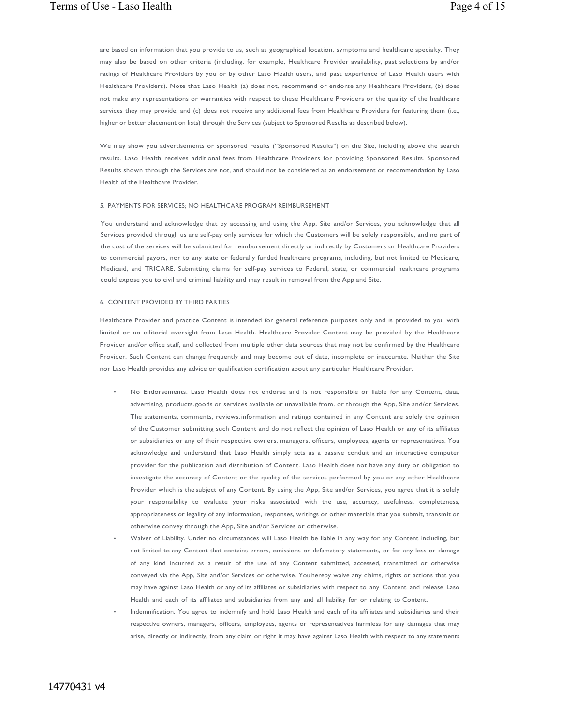are based on information that you provide to us, such as geographical location, symptoms and healthcare specialty. They may also be based on other criteria (including, for example, Healthcare Provider availability, past selections by and/or ratings of Healthcare Providers by you or by other Laso Health users, and past experience of Laso Health users with Healthcare Providers). Note that Laso Health (a) does not, recommend or endorse any Healthcare Providers, (b) does not make any representations or warranties with respect to these Healthcare Providers or the quality of the healthcare services they may provide, and (c) does not receive any additional fees from Healthcare Providers for featuring them (i.e., higher or better placement on lists) through the Services (subject to Sponsored Results as described below).

We may show you advertisements or sponsored results ("Sponsored Results") on the Site, including above the search results. Laso Health receives additional fees from Healthcare Providers for providing Sponsored Results. Sponsored Results shown through the Services are not, and should not be considered as an endorsement or recommendation by Laso Health of the Healthcare Provider.

#### 5. PAYMENTS FOR SERVICES; NO HEALTHCARE PROGRAM REIMBURSEMENT

You understand and acknowledge that by accessing and using the App, Site and/or Services, you acknowledge that all Services provided through us are self-pay only services for which the Customers will be solely responsible, and no part of the cost of the services will be submitted for reimbursement directly or indirectly by Customers or Healthcare Providers to commercial payors, nor to any state or federally funded healthcare programs, including, but not limited to Medicare, Medicaid, and TRICARE. Submitting claims for self-pay services to Federal, state, or commercial healthcare programs could expose you to civil and criminal liability and may result in removal from the App and Site.

#### 6. CONTENT PROVIDED BY THIRD PARTIES

Healthcare Provider and practice Content is intended for general reference purposes only and is provided to you with limited or no editorial oversight from Laso Health. Healthcare Provider Content may be provided by the Healthcare Provider and/or office staff, and collected from multiple other data sources that may not be confirmed by the Healthcare Provider. Such Content can change frequently and may become out of date, incomplete or inaccurate. Neither the Site nor Laso Health provides any advice or qualification certification about any particular Healthcare Provider.

- No Endorsements. Laso Health does not endorse and is not responsible or liable for any Content, data, advertising, products,goods or services available or unavailable from, or through the App, Site and/or Services. The statements, comments, reviews, information and ratings contained in any Content are solely the opinion of the Customer submitting such Content and do not reflect the opinion of Laso Health or any of its affiliates or subsidiaries or any of their respective owners, managers, officers, employees, agents or representatives. You acknowledge and understand that Laso Health simply acts as a passive conduit and an interactive computer provider for the publication and distribution of Content. Laso Health does not have any duty or obligation to investigate the accuracy of Content or the quality of the services performed by you or any other Healthcare Provider which is the subject of any Content. By using the App, Site and/or Services, you agree that it is solely your responsibility to evaluate your risks associated with the use, accuracy, usefulness, completeness, appropriateness or legality of any information, responses, writings or other materials that you submit, transmit or otherwise convey through the App, Site and/or Services or otherwise.
- Waiver of Liability. Under no circumstances will Laso Health be liable in any way for any Content including, but not limited to any Content that contains errors, omissions or defamatory statements, or for any loss or damage of any kind incurred as a result of the use of any Content submitted, accessed, transmitted or otherwise conveyed via the App, Site and/or Services or otherwise. You hereby waive any claims, rights or actions that you may have against Laso Health or any of its affiliates or subsidiaries with respect to any Content and release Laso Health and each of its affiliates and subsidiaries from any and all liability for or relating to Content.
	- Indemnification. You agree to indemnify and hold Laso Health and each of its affiliates and subsidiaries and their respective owners, managers, officers, employees, agents or representatives harmless for any damages that may arise, directly or indirectly, from any claim or right it may have against Laso Health with respect to any statements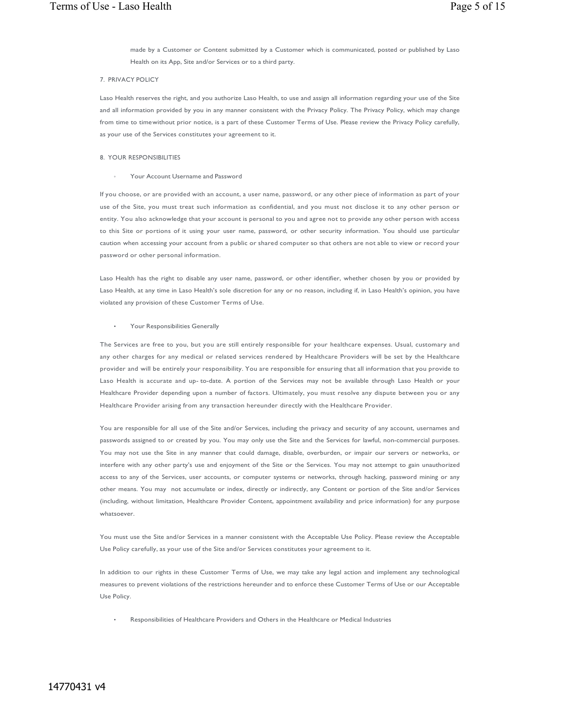made by a Customer or Content submitted by a Customer which is communicated, posted or published by Laso Health on its App, Site and/or Services or to a third party.

### 7. PRIVACY POLICY

Laso Health reserves the right, and you authorize Laso Health, to use and assign all information regarding your use of the Site and all information provided by you in any manner consistent with the Privacy Policy. The Privacy Policy, which may change from time to timewithout prior notice, is a part of these Customer Terms of Use. Please review the Privacy Policy carefully, as your use of the Services constitutes your agreement to it.

### 8. YOUR RESPONSIBILITIES

#### Your Account Username and Password

If you choose, or are provided with an account, a user name, password, or any other piece of information as part of your use of the Site, you must treat such information as confidential, and you must not disclose it to any other person or entity. You also acknowledge that your account is personal to you and agree not to provide any other person with access to this Site or portions of it using your user name, password, or other security information. You should use particular caution when accessing your account from a public or shared computer so that others are not able to view or record your password or other personal information.

Laso Health has the right to disable any user name, password, or other identifier, whether chosen by you or provided by Laso Health, at any time in Laso Health's sole discretion for any or no reason, including if, in Laso Health's opinion, you have violated any provision of these Customer Terms of Use.

### • Your Responsibilities Generally

The Services are free to you, but you are still entirely responsible for your healthcare expenses. Usual, customary and any other charges for any medical or related services rendered by Healthcare Providers will be set by the Healthcare provider and will be entirely your responsibility. You are responsible for ensuring that all information that you provide to Laso Health is accurate and up- to-date. A portion of the Services may not be available through Laso Health or your Healthcare Provider depending upon a number of factors. Ultimately, you must resolve any dispute between you or any Healthcare Provider arising from any transaction hereunder directly with the Healthcare Provider.

You are responsible for all use of the Site and/or Services, including the privacy and security of any account, usernames and passwords assigned to or created by you. You may only use the Site and the Services for lawful, non-commercial purposes. You may not use the Site in any manner that could damage, disable, overburden, or impair our servers or networks, or interfere with any other party's use and enjoyment of the Site or the Services. You may not attempt to gain unauthorized access to any of the Services, user accounts, or computer systems or networks, through hacking, password mining or any other means. You may not accumulate or index, directly or indirectly, any Content or portion of the Site and/or Services (including, without limitation, Healthcare Provider Content, appointment availability and price information) for any purpose whatsoever.

You must use the Site and/or Services in a manner consistent with the Acceptable Use Policy. Please review the Acceptable Use Policy carefully, as your use of the Site and/or Services constitutes your agreement to it.

In addition to our rights in these Customer Terms of Use, we may take any legal action and implement any technological measures to prevent violations of the restrictions hereunder and to enforce these Customer Terms of Use or our Acceptable Use Policy.

• Responsibilities of Healthcare Providers and Others in the Healthcare or Medical Industries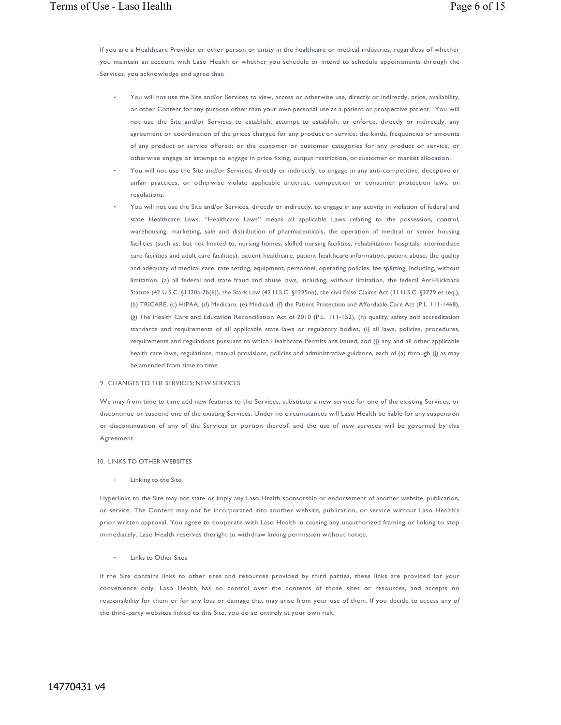If you are a Healthcare Provider or other person or entity in the healthcare or medical industries, regardless of whether you maintain an account with Laso Health or whether you schedule or intend to schedule appointments through the Services, you acknowledge and agree that:

- You will not use the Site and/or Services to view, access or otherwise use, directly or indirectly, price, availability, or other Content for any purpose other than your own personal use as a patient or prospective patient. You will not use the Site and/or Services to establish, attempt to establish, or enforce, directly or indirectly, any agreement or coordination of the prices charged for any product or service; the kinds, frequencies or amounts of any product or service offered; or the customer or customer categories for any product or service, or otherwise engage or attempt to engage in price fixing, output restriction, or customer or market allocation.
- You will not use the Site and/or Services, directly or indirectly, to engage in any anti-competitive, deceptive or unfair practices, or otherwise violate applicable antitrust, competition or consumer protection laws, or regulations.
- You will not use the Site and/or Services, directly or indirectly, to engage in any activity in violation of federal and state Healthcare Laws. "Healthcare Laws" means all applicable Laws relating to the possession, control, warehousing, marketing, sale and distribution of pharmaceuticals, the operation of medical or senior housing facilities (such as, but not limited to, nursing homes, skilled nursing facilities, rehabilitation hospitals, intermediate care facilities and adult care facilities), patient healthcare, patient healthcare information, patient abuse, the quality and adequacy of medical care, rate setting, equipment, personnel, operating policies, fee splitting, including, without limitation, (a) all federal and state fraud and abuse laws, including, without limitation, the federal Anti-Kickback Statute (42 U.S.C. §1320a-7b(6)), the Stark Law (42 U.S.C. §1395nn), the civil False Claims Act (31 U.S.C. §3729 et seq.), (b) TRICARE, (c) HIPAA, (d) Medicare, (e) Medicaid, (f) the Patient Protection and Affordable Care Act (P.L. 111-1468), (g) The Health Care and Education Reconciliation Act of 2010 (P.L. 111-152), (h) quality, safety and accreditation standards and requirements of all applicable state laws or regulatory bodies, (i) all laws, policies, procedures, requirements and regulations pursuant to which Healthcare Permits are issued, and (j) any and all other applicable health care laws, regulations, manual provisions, policies and administrative guidance, each of (a) through (j) as may be amended from time to time.

#### 9. CHANGES TO THE SERVICES; NEW SERVICES

We may from time to time add new features to the Services, substitute a new service for one of the existing Services, or discontinue or suspend one of the existing Services. Under no circumstances will Laso Health be liable for any suspension or discontinuation of any of the Services or portion thereof, and the use of new services will be governed by this Agreement.

#### 10. LINKS TO OTHER WEBSITES

#### Linking to the Site

Hyperlinks to the Site may not state or imply any Laso Health sponsorship or endorsement of another website, publication, or service. The Content may not be incorporated into another website, publication, or service without Laso Health's prior written approval. You agree to cooperate with Laso Health in causing any unauthorized framing or linking to stop immediately. Laso Health reserves theright to withdraw linking permission without notice.

#### **Links to Other Sites**

If the Site contains links to other sites and resources provided by third parties, these links are provided for your convenience only. Laso Health has no control over the contents of those sites or resources, and accepts no responsibility for them or for any loss or damage that may arise from your use of them. If you decide to access any of the third-party websites linked to this Site, you do so entirely at your own risk.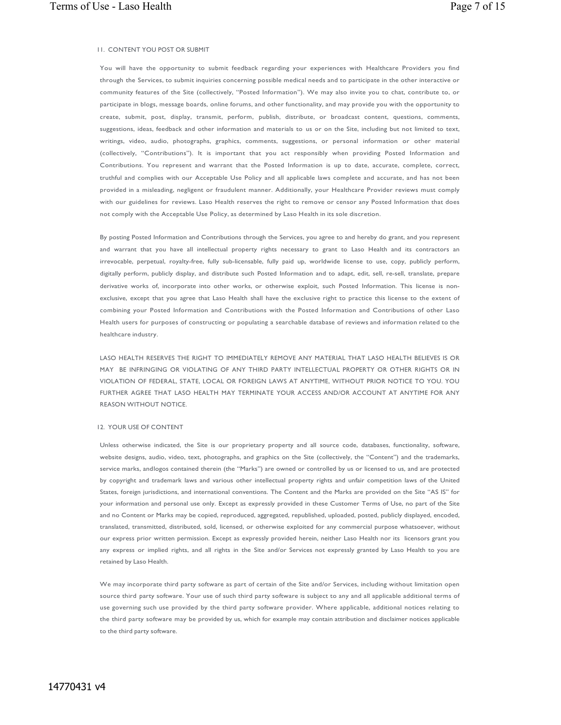#### 11. CONTENT YOU POST OR SUBMIT

You will have the opportunity to submit feedback regarding your experiences with Healthcare Providers you find through the Services, to submit inquiries concerning possible medical needs and to participate in the other interactive or community features of the Site (collectively, "Posted Information"). We may also invite you to chat, contribute to, or participate in blogs, message boards, online forums, and other functionality, and may provide you with the opportunity to create, submit, post, display, transmit, perform, publish, distribute, or broadcast content, questions, comments, suggestions, ideas, feedback and other information and materials to us or on the Site, including but not limited to text, writings, video, audio, photographs, graphics, comments, suggestions, or personal information or other material (collectively, "Contributions"). It is important that you act responsibly when providing Posted Information and Contributions. You represent and warrant that the Posted Information is up to date, accurate, complete, correct, truthful and complies with our Acceptable Use Policy and all applicable laws complete and accurate, and has not been provided in a misleading, negligent or fraudulent manner. Additionally, your Healthcare Provider reviews must comply with our guidelines for reviews. Laso Health reserves the right to remove or censor any Posted Information that does not comply with the Acceptable Use Policy, as determined by Laso Health in its sole discretion.

By posting Posted Information and Contributions through the Services, you agree to and hereby do grant, and you represent and warrant that you have all intellectual property rights necessary to grant to Laso Health and its contractors an irrevocable, perpetual, royalty-free, fully sub-licensable, fully paid up, worldwide license to use, copy, publicly perform, digitally perform, publicly display, and distribute such Posted Information and to adapt, edit, sell, re-sell, translate, prepare derivative works of, incorporate into other works, or otherwise exploit, such Posted Information. This license is nonexclusive, except that you agree that Laso Health shall have the exclusive right to practice this license to the extent of combining your Posted Information and Contributions with the Posted Information and Contributions of other Laso Health users for purposes of constructing or populating a searchable database of reviews and information related to the healthcare industry.

LASO HEALTH RESERVES THE RIGHT TO IMMEDIATELY REMOVE ANY MATERIAL THAT LASO HEALTH BELIEVES IS OR MAY BE INFRINGING OR VIOLATING OF ANY THIRD PARTY INTELLECTUAL PROPERTY OR OTHER RIGHTS OR IN VIOLATION OF FEDERAL, STATE, LOCAL OR FOREIGN LAWS AT ANYTIME, WITHOUT PRIOR NOTICE TO YOU. YOU FURTHER AGREE THAT LASO HEALTH MAY TERMINATE YOUR ACCESS AND/OR ACCOUNT AT ANYTIME FOR ANY REASON WITHOUT NOTICE.

### 12. YOUR USE OF CONTENT

Unless otherwise indicated, the Site is our proprietary property and all source code, databases, functionality, software, website designs, audio, video, text, photographs, and graphics on the Site (collectively, the "Content") and the trademarks, service marks, andlogos contained therein (the "Marks") are owned or controlled by us or licensed to us, and are protected by copyright and trademark laws and various other intellectual property rights and unfair competition laws of the United States, foreign jurisdictions, and international conventions. The Content and the Marks are provided on the Site "AS IS" for your information and personal use only. Except as expressly provided in these Customer Terms of Use, no part of the Site and no Content or Marks may be copied, reproduced, aggregated, republished, uploaded, posted, publicly displayed, encoded, translated, transmitted, distributed, sold, licensed, or otherwise exploited for any commercial purpose whatsoever, without our express prior written permission. Except as expressly provided herein, neither Laso Health nor its licensors grant you any express or implied rights, and all rights in the Site and/or Services not expressly granted by Laso Health to you are retained by Laso Health.

We may incorporate third party software as part of certain of the Site and/or Services, including without limitation open source third party software. Your use of such third party software is subject to any and all applicable additional terms of use governing such use provided by the third party software provider. Where applicable, additional notices relating to the third party software may be provided by us, which for example may contain attribution and disclaimer notices applicable to the third party software.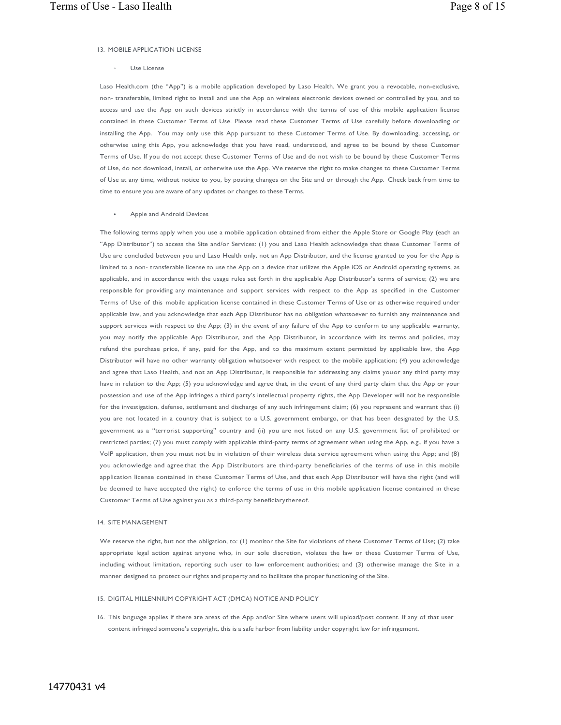## 13. MOBILE APPLICATION LICENSE

◦ Use License

Laso Health.com (the "App") is a mobile application developed by Laso Health. We grant you a revocable, non-exclusive, non- transferable, limited right to install and use the App on wireless electronic devices owned or controlled by you, and to access and use the App on such devices strictly in accordance with the terms of use of this mobile application license contained in these Customer Terms of Use. Please read these Customer Terms of Use carefully before downloading or installing the App. You may only use this App pursuant to these Customer Terms of Use. By downloading, accessing, or otherwise using this App, you acknowledge that you have read, understood, and agree to be bound by these Customer Terms of Use. If you do not accept these Customer Terms of Use and do not wish to be bound by these Customer Terms of Use, do not download, install, or otherwise use the App. We reserve the right to make changes to these Customer Terms of Use at any time, without notice to you, by posting changes on the Site and or through the App. Check back from time to time to ensure you are aware of any updates or changes to these Terms.

#### Apple and Android Devices

The following terms apply when you use a mobile application obtained from either the Apple Store or Google Play (each an "App Distributor") to access the Site and/or Services: (1) you and Laso Health acknowledge that these Customer Terms of Use are concluded between you and Laso Health only, not an App Distributor, and the license granted to you for the App is limited to a non- transferable license to use the App on a device that utilizes the Apple iOS or Android operating systems, as applicable, and in accordance with the usage rules set forth in the applicable App Distributor's terms of service; (2) we are responsible for providing any maintenance and support services with respect to the App as specified in the Customer Terms of Use of this mobile application license contained in these Customer Terms of Use or as otherwise required under applicable law, and you acknowledge that each App Distributor has no obligation whatsoever to furnish any maintenance and support services with respect to the App; (3) in the event of any failure of the App to conform to any applicable warranty, you may notify the applicable App Distributor, and the App Distributor, in accordance with its terms and policies, may refund the purchase price, if any, paid for the App, and to the maximum extent permitted by applicable law, the App Distributor will have no other warranty obligation whatsoever with respect to the mobile application; (4) you acknowledge and agree that Laso Health, and not an App Distributor, is responsible for addressing any claims youor any third party may have in relation to the App; (5) you acknowledge and agree that, in the event of any third party claim that the App or your possession and use of the App infringes a third party's intellectual property rights, the App Developer will not be responsible for the investigation, defense, settlement and discharge of any such infringement claim; (6) you represent and warrant that (i) you are not located in a country that is subject to a U.S. government embargo, or that has been designated by the U.S. government as a "terrorist supporting" country and (ii) you are not listed on any U.S. government list of prohibited or restricted parties; (7) you must comply with applicable third-party terms of agreement when using the App, e.g., if you have a VoIP application, then you must not be in violation of their wireless data service agreement when using the App; and (8) you acknowledge and agree that the App Distributors are third-party beneficiaries of the terms of use in this mobile application license contained in these Customer Terms of Use, and that each App Distributor will have the right (and will be deemed to have accepted the right) to enforce the terms of use in this mobile application license contained in these Customer Terms of Use against you as a third-party beneficiarythereof.

#### 14. SITE MANAGEMENT

We reserve the right, but not the obligation, to: (1) monitor the Site for violations of these Customer Terms of Use; (2) take appropriate legal action against anyone who, in our sole discretion, violates the law or these Customer Terms of Use, including without limitation, reporting such user to law enforcement authorities; and (3) otherwise manage the Site in a manner designed to protect our rights and property and to facilitate the proper functioning of the Site.

### 15. DIGITAL MILLENNIUM COPYRIGHT ACT (DMCA) NOTICE AND POLICY

16. This language applies if there are areas of the App and/or Site where users will upload/post content. If any of that user content infringed someone's copyright, this is a safe harbor from liability under copyright law for infringement.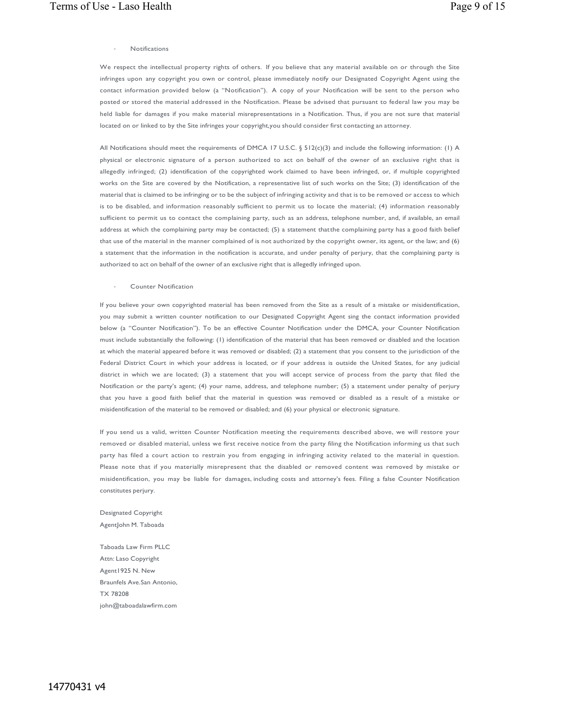### **Notifications**

We respect the intellectual property rights of others. If you believe that any material available on or through the Site infringes upon any copyright you own or control, please immediately notify our Designated Copyright Agent using the contact information provided below (a "Notification"). A copy of your Notification will be sent to the person who posted or stored the material addressed in the Notification. Please be advised that pursuant to federal law you may be held liable for damages if you make material misrepresentations in a Notification. Thus, if you are not sure that material located on or linked to by the Site infringes your copyright,you should consider first contacting an attorney.

All Notifications should meet the requirements of DMCA 17 U.S.C. § 512(c)(3) and include the following information: (1) A physical or electronic signature of a person authorized to act on behalf of the owner of an exclusive right that is allegedly infringed; (2) identification of the copyrighted work claimed to have been infringed, or, if multiple copyrighted works on the Site are covered by the Notification, a representative list of such works on the Site; (3) identification of the material that is claimed to be infringing or to be the subject of infringing activity and that is to be removed or access to which is to be disabled, and information reasonably sufficient to permit us to locate the material; (4) information reasonably sufficient to permit us to contact the complaining party, such as an address, telephone number, and, if available, an email address at which the complaining party may be contacted; (5) a statement thatthe complaining party has a good faith belief that use of the material in the manner complained of is not authorized by the copyright owner, its agent, or the law; and (6) a statement that the information in the notification is accurate, and under penalty of perjury, that the complaining party is authorized to act on behalf of the owner of an exclusive right that is allegedly infringed upon.

◦ Counter Notification

If you believe your own copyrighted material has been removed from the Site as a result of a mistake or misidentification, you may submit a written counter notification to our Designated Copyright Agent sing the contact information provided below (a "Counter Notification"). To be an effective Counter Notification under the DMCA, your Counter Notification must include substantially the following: (1) identification of the material that has been removed or disabled and the location at which the material appeared before it was removed or disabled; (2) a statement that you consent to the jurisdiction of the Federal District Court in which your address is located, or if your address is outside the United States, for any judicial district in which we are located; (3) a statement that you will accept service of process from the party that filed the Notification or the party's agent; (4) your name, address, and telephone number; (5) a statement under penalty of perjury that you have a good faith belief that the material in question was removed or disabled as a result of a mistake or misidentification of the material to be removed or disabled; and (6) your physical or electronic signature.

If you send us a valid, written Counter Notification meeting the requirements described above, we will restore your removed or disabled material, unless we first receive notice from the party filing the Notification informing us that such party has filed a court action to restrain you from engaging in infringing activity related to the material in question. Please note that if you materially misrepresent that the disabled or removed content was removed by mistake or misidentification, you may be liable for damages, including costs and attorney's fees. Filing a false Counter Notification constitutes perjury.

Designated Copyright AgentJohn M. Taboada

Taboada Law Firm PLLC Attn: Laso Copyright Agent1925 N. New Braunfels Ave.San Antonio, TX 78208 john@taboadalawfirm.com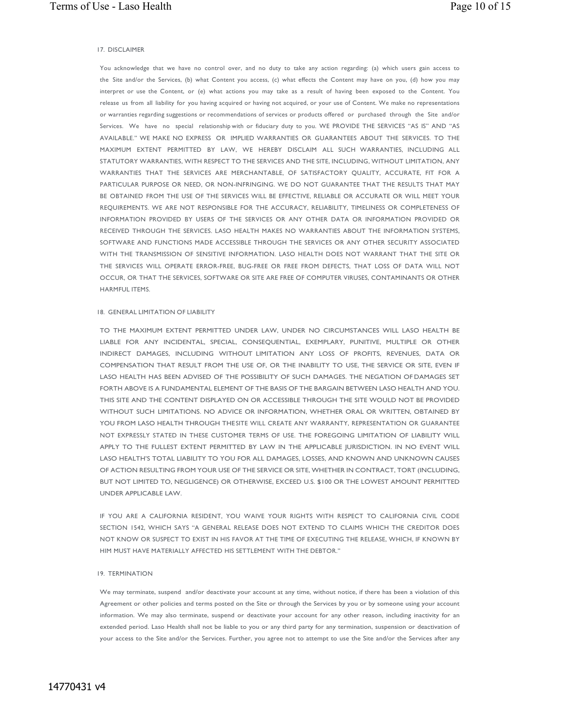#### 17. DISCLAIMER

You acknowledge that we have no control over, and no duty to take any action regarding: (a) which users gain access to the Site and/or the Services, (b) what Content you access, (c) what effects the Content may have on you, (d) how you may interpret or use the Content, or (e) what actions you may take as a result of having been exposed to the Content. You release us from all liability for you having acquired or having not acquired, or your use of Content. We make no representations or warranties regarding suggestions or recommendations of services or products offered or purchased through the Site and/or Services. We have no special relationship with or fiduciary duty to you. WE PROVIDE THE SERVICES "AS IS" AND "AS AVAILABLE." WE MAKE NO EXPRESS OR IMPLIED WARRANTIES OR GUARANTEES ABOUT THE SERVICES. TO THE MAXIMUM EXTENT PERMITTED BY LAW, WE HEREBY DISCLAIM ALL SUCH WARRANTIES, INCLUDING ALL STATUTORY WARRANTIES, WITH RESPECT TO THE SERVICES AND THE SITE, INCLUDING, WITHOUT LIMITATION, ANY WARRANTIES THAT THE SERVICES ARE MERCHANTABLE, OF SATISFACTORY QUALITY, ACCURATE, FIT FOR A PARTICULAR PURPOSE OR NEED, OR NON-INFRINGING. WE DO NOT GUARANTEE THAT THE RESULTS THAT MAY BE OBTAINED FROM THE USE OF THE SERVICES WILL BE EFFECTIVE, RELIABLE OR ACCURATE OR WILL MEET YOUR REQUIREMENTS. WE ARE NOT RESPONSIBLE FOR THE ACCURACY, RELIABILITY, TIMELINESS OR COMPLETENESS OF INFORMATION PROVIDED BY USERS OF THE SERVICES OR ANY OTHER DATA OR INFORMATION PROVIDED OR RECEIVED THROUGH THE SERVICES. LASO HEALTH MAKES NO WARRANTIES ABOUT THE INFORMATION SYSTEMS, SOFTWARE AND FUNCTIONS MADE ACCESSIBLE THROUGH THE SERVICES OR ANY OTHER SECURITY ASSOCIATED WITH THE TRANSMISSION OF SENSITIVE INFORMATION. LASO HEALTH DOES NOT WARRANT THAT THE SITE OR THE SERVICES WILL OPERATE ERROR-FREE, BUG-FREE OR FREE FROM DEFECTS, THAT LOSS OF DATA WILL NOT OCCUR, OR THAT THE SERVICES, SOFTWARE OR SITE ARE FREE OF COMPUTER VIRUSES, CONTAMINANTS OR OTHER HARMFUL ITEMS.

### 18. GENERAL LIMITATION OF LIABILITY

TO THE MAXIMUM EXTENT PERMITTED UNDER LAW, UNDER NO CIRCUMSTANCES WILL LASO HEALTH BE LIABLE FOR ANY INCIDENTAL, SPECIAL, CONSEQUENTIAL, EXEMPLARY, PUNITIVE, MULTIPLE OR OTHER INDIRECT DAMAGES, INCLUDING WITHOUT LIMITATION ANY LOSS OF PROFITS, REVENUES, DATA OR COMPENSATION THAT RESULT FROM THE USE OF, OR THE INABILITY TO USE, THE SERVICE OR SITE, EVEN IF LASO HEALTH HAS BEEN ADVISED OF THE POSSIBILITY OF SUCH DAMAGES. THE NEGATION OF DAMAGES SET FORTH ABOVE IS A FUNDAMENTAL ELEMENT OF THE BASIS OF THE BARGAIN BETWEEN LASO HEALTH AND YOU. THIS SITE AND THE CONTENT DISPLAYED ON OR ACCESSIBLE THROUGH THE SITE WOULD NOT BE PROVIDED WITHOUT SUCH LIMITATIONS. NO ADVICE OR INFORMATION, WHETHER ORAL OR WRITTEN, OBTAINED BY YOU FROM LASO HEALTH THROUGH THESITE WILL CREATE ANY WARRANTY, REPRESENTATION OR GUARANTEE NOT EXPRESSLY STATED IN THESE CUSTOMER TERMS OF USE. THE FOREGOING LIMITATION OF LIABILITY WILL APPLY TO THE FULLEST EXTENT PERMITTED BY LAW IN THE APPLICABLE JURISDICTION. IN NO EVENT WILL LASO HEALTH'S TOTAL LIABILITY TO YOU FOR ALL DAMAGES, LOSSES, AND KNOWN AND UNKNOWN CAUSES OF ACTION RESULTING FROM YOUR USE OF THE SERVICE OR SITE, WHETHER IN CONTRACT, TORT (INCLUDING, BUT NOT LIMITED TO, NEGLIGENCE) OR OTHERWISE, EXCEED U.S. \$100 OR THE LOWEST AMOUNT PERMITTED UNDER APPLICABLE LAW.

IF YOU ARE A CALIFORNIA RESIDENT, YOU WAIVE YOUR RIGHTS WITH RESPECT TO CALIFORNIA CIVIL CODE SECTION 1542, WHICH SAYS "A GENERAL RELEASE DOES NOT EXTEND TO CLAIMS WHICH THE CREDITOR DOES NOT KNOW OR SUSPECT TO EXIST IN HIS FAVOR AT THE TIME OF EXECUTING THE RELEASE, WHICH, IF KNOWN BY HIM MUST HAVE MATERIALLY AFFECTED HIS SETTLEMENT WITH THE DEBTOR."

## 19. TERMINATION

We may terminate, suspend and/or deactivate your account at any time, without notice, if there has been a violation of this Agreement or other policies and terms posted on the Site or through the Services by you or by someone using your account information. We may also terminate, suspend or deactivate your account for any other reason, including inactivity for an extended period. Laso Health shall not be liable to you or any third party for any termination, suspension or deactivation of your access to the Site and/or the Services. Further, you agree not to attempt to use the Site and/or the Services after any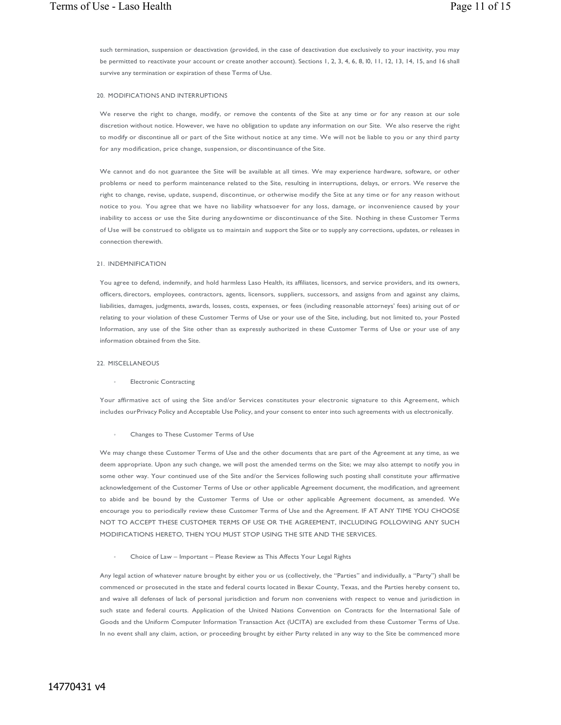such termination, suspension or deactivation (provided, in the case of deactivation due exclusively to your inactivity, you may be permitted to reactivate your account or create another account). Sections 1, 2, 3, 4, 6, 8, l0, 11, 12, 13, 14, 15, and 16 shall survive any termination or expiration of these Terms of Use.

## 20. MODIFICATIONS AND INTERRUPTIONS

We reserve the right to change, modify, or remove the contents of the Site at any time or for any reason at our sole discretion without notice. However, we have no obligation to update any information on our Site. We also reserve the right to modify or discontinue all or part of the Site without notice at any time. We will not be liable to you or any third party for any modification, price change, suspension, or discontinuance of the Site.

We cannot and do not guarantee the Site will be available at all times. We may experience hardware, software, or other problems or need to perform maintenance related to the Site, resulting in interruptions, delays, or errors. We reserve the right to change, revise, update, suspend, discontinue, or otherwise modify the Site at any time or for any reason without notice to you. You agree that we have no liability whatsoever for any loss, damage, or inconvenience caused by your inability to access or use the Site during anydowntime or discontinuance of the Site. Nothing in these Customer Terms of Use will be construed to obligate us to maintain and support the Site or to supply any corrections, updates, or releases in connection therewith.

#### 21. INDEMNIFICATION

You agree to defend, indemnify, and hold harmless Laso Health, its affiliates, licensors, and service providers, and its owners, officers, directors, employees, contractors, agents, licensors, suppliers, successors, and assigns from and against any claims, liabilities, damages, judgments, awards, losses, costs, expenses, or fees (including reasonable attorneys' fees) arising out of or relating to your violation of these Customer Terms of Use or your use of the Site, including, but not limited to, your Posted Information, any use of the Site other than as expressly authorized in these Customer Terms of Use or your use of any information obtained from the Site.

## 22. MISCELLANEOUS

Electronic Contracting

Your affirmative act of using the Site and/or Services constitutes your electronic signature to this Agreement, which includes ourPrivacy Policy and Acceptable Use Policy, and your consent to enter into such agreements with us electronically.

#### ◦ Changes to These Customer Terms of Use

We may change these Customer Terms of Use and the other documents that are part of the Agreement at any time, as we deem appropriate. Upon any such change, we will post the amended terms on the Site; we may also attempt to notify you in some other way. Your continued use of the Site and/or the Services following such posting shall constitute your affirmative acknowledgement of the Customer Terms of Use or other applicable Agreement document, the modification, and agreement to abide and be bound by the Customer Terms of Use or other applicable Agreement document, as amended. We encourage you to periodically review these Customer Terms of Use and the Agreement. IF AT ANY TIME YOU CHOOSE NOT TO ACCEPT THESE CUSTOMER TERMS OF USE OR THE AGREEMENT, INCLUDING FOLLOWING ANY SUCH MODIFICATIONS HERETO, THEN YOU MUST STOP USING THE SITE AND THE SERVICES.

◦ Choice of Law – Important – Please Review as This Affects Your Legal Rights

Any legal action of whatever nature brought by either you or us (collectively, the "Parties" and individually, a "Party") shall be commenced or prosecuted in the state and federal courts located in Bexar County, Texas, and the Parties hereby consent to, and waive all defenses of lack of personal jurisdiction and forum non conveniens with respect to venue and jurisdiction in such state and federal courts. Application of the United Nations Convention on Contracts for the International Sale of Goods and the Uniform Computer Information Transaction Act (UCITA) are excluded from these Customer Terms of Use. In no event shall any claim, action, or proceeding brought by either Party related in any way to the Site be commenced more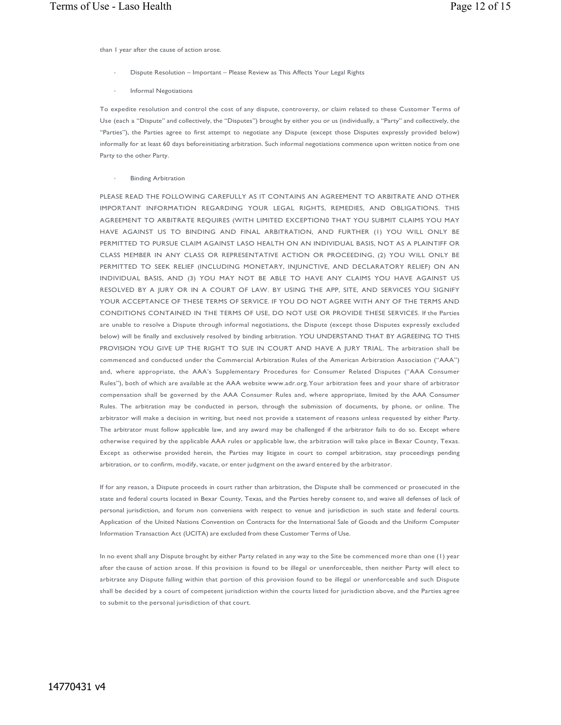than 1 year after the cause of action arose.

- Dispute Resolution Important Please Review as This Affects Your Legal Rights
- Informal Negotiations

To expedite resolution and control the cost of any dispute, controversy, or claim related to these Customer Terms of Use (each a "Dispute" and collectively, the "Disputes") brought by either you or us (individually, a "Party" and collectively, the "Parties"), the Parties agree to first attempt to negotiate any Dispute (except those Disputes expressly provided below) informally for at least 60 days beforeinitiating arbitration. Such informal negotiations commence upon written notice from one Party to the other Party.

**Binding Arbitration** 

PLEASE READ THE FOLLOWING CAREFULLY AS IT CONTAINS AN AGREEMENT TO ARBITRATE AND OTHER IMPORTANT INFORMATION REGARDING YOUR LEGAL RIGHTS, REMEDIES, AND OBLIGATIONS. THIS AGREEMENT TO ARBITRATE REQUIRES (WITH LIMITED EXCEPTION0 THAT YOU SUBMIT CLAIMS YOU MAY HAVE AGAINST US TO BINDING AND FINAL ARBITRATION, AND FURTHER (1) YOU WILL ONLY BE PERMITTED TO PURSUE CLAIM AGAINST LASO HEALTH ON AN INDIVIDUAL BASIS, NOT AS A PLAINTIFF OR CLASS MEMBER IN ANY CLASS OR REPRESENTATIVE ACTION OR PROCEEDING, (2) YOU WILL ONLY BE PERMITTED TO SEEK RELIEF (INCLUDING MONETARY, INJUNCTIVE, AND DECLARATORY RELIEF) ON AN INDIVIDUAL BASIS, AND (3) YOU MAY NOT BE ABLE TO HAVE ANY CLAIMS YOU HAVE AGAINST US RESOLVED BY A JURY OR IN A COURT OF LAW. BY USING THE APP, SITE, AND SERVICES YOU SIGNIFY YOUR ACCEPTANCE OF THESE TERMS OF SERVICE. IF YOU DO NOT AGREE WITH ANY OF THE TERMS AND CONDITIONS CONTAINED IN THE TERMS OF USE, DO NOT USE OR PROVIDE THESE SERVICES. If the Parties are unable to resolve a Dispute through informal negotiations, the Dispute (except those Disputes expressly excluded below) will be finally and exclusively resolved by binding arbitration. YOU UNDERSTAND THAT BY AGREEING TO THIS PROVISION YOU GIVE UP THE RIGHT TO SUE IN COURT AND HAVE A JURY TRIAL. The arbitration shall be commenced and conducted under the Commercial Arbitration Rules of the American Arbitration Association ("AAA") and, where appropriate, the AAA's Supplementary Procedures for Consumer Related Disputes ("AAA Consumer Rules"), both of which are available at the AAA website www.adr.org.Your arbitration fees and your share of arbitrator compensation shall be governed by the AAA Consumer Rules and, where appropriate, limited by the AAA Consumer Rules. The arbitration may be conducted in person, through the submission of documents, by phone, or online. The arbitrator will make a decision in writing, but need not provide a statement of reasons unless requested by either Party. The arbitrator must follow applicable law, and any award may be challenged if the arbitrator fails to do so. Except where otherwise required by the applicable AAA rules or applicable law, the arbitration will take place in Bexar County, Texas. Except as otherwise provided herein, the Parties may litigate in court to compel arbitration, stay proceedings pending arbitration, or to confirm, modify, vacate, or enter judgment on the award entered by the arbitrator.

If for any reason, a Dispute proceeds in court rather than arbitration, the Dispute shall be commenced or prosecuted in the state and federal courts located in Bexar County, Texas, and the Parties hereby consent to, and waive all defenses of lack of personal jurisdiction, and forum non conveniens with respect to venue and jurisdiction in such state and federal courts. Application of the United Nations Convention on Contracts for the International Sale of Goods and the Uniform Computer Information Transaction Act (UCITA) are excluded from these Customer Terms of Use.

In no event shall any Dispute brought by either Party related in any way to the Site be commenced more than one (1) year after the cause of action arose. If this provision is found to be illegal or unenforceable, then neither Party will elect to arbitrate any Dispute falling within that portion of this provision found to be illegal or unenforceable and such Dispute shall be decided by a court of competent jurisdiction within the courts listed for jurisdiction above, and the Parties agree to submit to the personal jurisdiction of that court.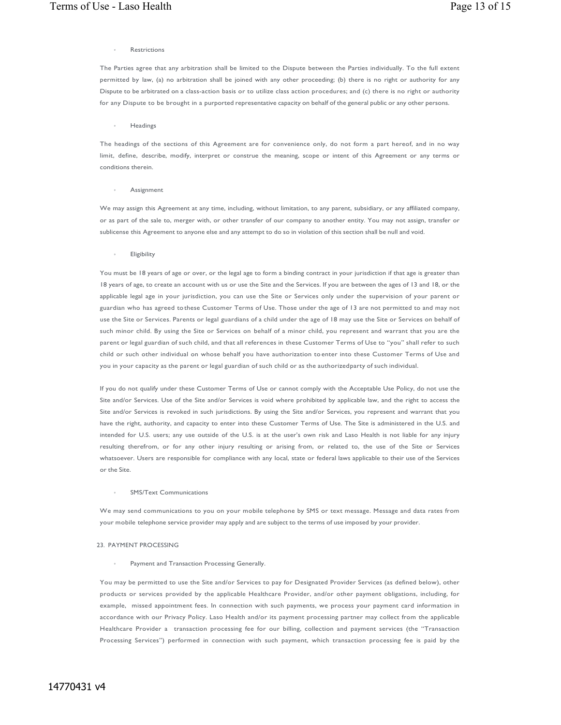## **Restrictions**

The Parties agree that any arbitration shall be limited to the Dispute between the Parties individually. To the full extent permitted by law, (a) no arbitration shall be joined with any other proceeding; (b) there is no right or authority for any Dispute to be arbitrated on a class-action basis or to utilize class action procedures; and (c) there is no right or authority for any Dispute to be brought in a purported representative capacity on behalf of the general public or any other persons.

**Headings** 

The headings of the sections of this Agreement are for convenience only, do not form a part hereof, and in no way limit, define, describe, modify, interpret or construe the meaning, scope or intent of this Agreement or any terms or conditions therein.

## **Assignment**

We may assign this Agreement at any time, including, without limitation, to any parent, subsidiary, or any affiliated company, or as part of the sale to, merger with, or other transfer of our company to another entity. You may not assign, transfer or sublicense this Agreement to anyone else and any attempt to do so in violation of this section shall be null and void.

## **Eligibility**

You must be 18 years of age or over, or the legal age to form a binding contract in your jurisdiction if that age is greater than 18 years of age, to create an account with us or use the Site and the Services. If you are between the ages of 13 and 18, or the applicable legal age in your jurisdiction, you can use the Site or Services only under the supervision of your parent or guardian who has agreed tothese Customer Terms of Use. Those under the age of 13 are not permitted to and may not use the Site or Services. Parents or legal guardians of a child under the age of 18 may use the Site or Services on behalf of such minor child. By using the Site or Services on behalf of a minor child, you represent and warrant that you are the parent or legal guardian of such child, and that all references in these Customer Terms of Use to "you" shall refer to such child or such other individual on whose behalf you have authorization to enter into these Customer Terms of Use and you in your capacity as the parent or legal guardian of such child or as the authorizedparty of such individual.

If you do not qualify under these Customer Terms of Use or cannot comply with the Acceptable Use Policy, do not use the Site and/or Services. Use of the Site and/or Services is void where prohibited by applicable law, and the right to access the Site and/or Services is revoked in such jurisdictions. By using the Site and/or Services, you represent and warrant that you have the right, authority, and capacity to enter into these Customer Terms of Use. The Site is administered in the U.S. and intended for U.S. users; any use outside of the U.S. is at the user's own risk and Laso Health is not liable for any injury resulting therefrom, or for any other injury resulting or arising from, or related to, the use of the Site or Services whatsoever. Users are responsible for compliance with any local, state or federal laws applicable to their use of the Services or the Site.

## SMS/Text Communications

We may send communications to you on your mobile telephone by SMS or text message. Message and data rates from your mobile telephone service provider may apply and are subject to the terms of use imposed by your provider.

## 23. PAYMENT PROCESSING

Payment and Transaction Processing Generally.

You may be permitted to use the Site and/or Services to pay for Designated Provider Services (as defined below), other products or services provided by the applicable Healthcare Provider, and/or other payment obligations, including, for example, missed appointment fees. In connection with such payments, we process your payment card information in accordance with our Privacy Policy. Laso Health and/or its payment processing partner may collect from the applicable Healthcare Provider a transaction processing fee for our billing, collection and payment services (the "Transaction Processing Services") performed in connection with such payment, which transaction processing fee is paid by the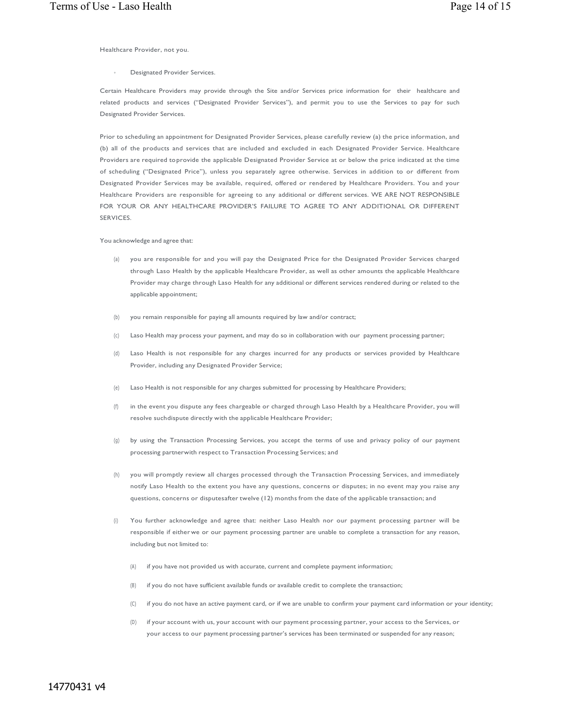Healthcare Provider, not you.

Designated Provider Services.

Certain Healthcare Providers may provide through the Site and/or Services price information for their healthcare and related products and services ("Designated Provider Services"), and permit you to use the Services to pay for such Designated Provider Services.

Prior to scheduling an appointment for Designated Provider Services, please carefully review (a) the price information, and (b) all of the products and services that are included and excluded in each Designated Provider Service. Healthcare Providers are required toprovide the applicable Designated Provider Service at or below the price indicated at the time of scheduling ("Designated Price"), unless you separately agree otherwise. Services in addition to or different from Designated Provider Services may be available, required, offered or rendered by Healthcare Providers. You and your Healthcare Providers are responsible for agreeing to any additional or different services. WE ARE NOT RESPONSIBLE FOR YOUR OR ANY HEALTHCARE PROVIDER'S FAILURE TO AGREE TO ANY ADDITIONAL OR DIFFERENT **SERVICES** 

You acknowledge and agree that:

- (a) you are responsible for and you will pay the Designated Price for the Designated Provider Services charged through Laso Health by the applicable Healthcare Provider, as well as other amounts the applicable Healthcare Provider may charge through Laso Health for any additional or different services rendered during or related to the applicable appointment;
- (b) you remain responsible for paying all amounts required by law and/or contract;
- (c) Laso Health may process your payment, and may do so in collaboration with our payment processing partner;
- (d) Laso Health is not responsible for any charges incurred for any products or services provided by Healthcare Provider, including any Designated Provider Service;
- (e) Laso Health is not responsible for any charges submitted for processing by Healthcare Providers;
- (f) in the event you dispute any fees chargeable or charged through Laso Health by a Healthcare Provider, you will resolve suchdispute directly with the applicable Healthcare Provider;
- (g) by using the Transaction Processing Services, you accept the terms of use and privacy policy of our payment processing partnerwith respect to Transaction Processing Services; and
- (h) you will promptly review all charges processed through the Transaction Processing Services, and immediately notify Laso Health to the extent you have any questions, concerns or disputes; in no event may you raise any questions, concerns or disputesafter twelve (12) months from the date of the applicable transaction; and
- (i) You further acknowledge and agree that: neither Laso Health nor our payment processing partner will be responsible if either we or our payment processing partner are unable to complete a transaction for any reason, including but not limited to:
	- (A) if you have not provided us with accurate, current and complete payment information;
	- (B) if you do not have sufficient available funds or available credit to complete the transaction;
	- (C) if you do not have an active payment card, or if we are unable to confirm your payment card information or your identity;
	- (D) if your account with us, your account with our payment processing partner, your access to the Services, or your access to our payment processing partner's services has been terminated or suspended for any reason;